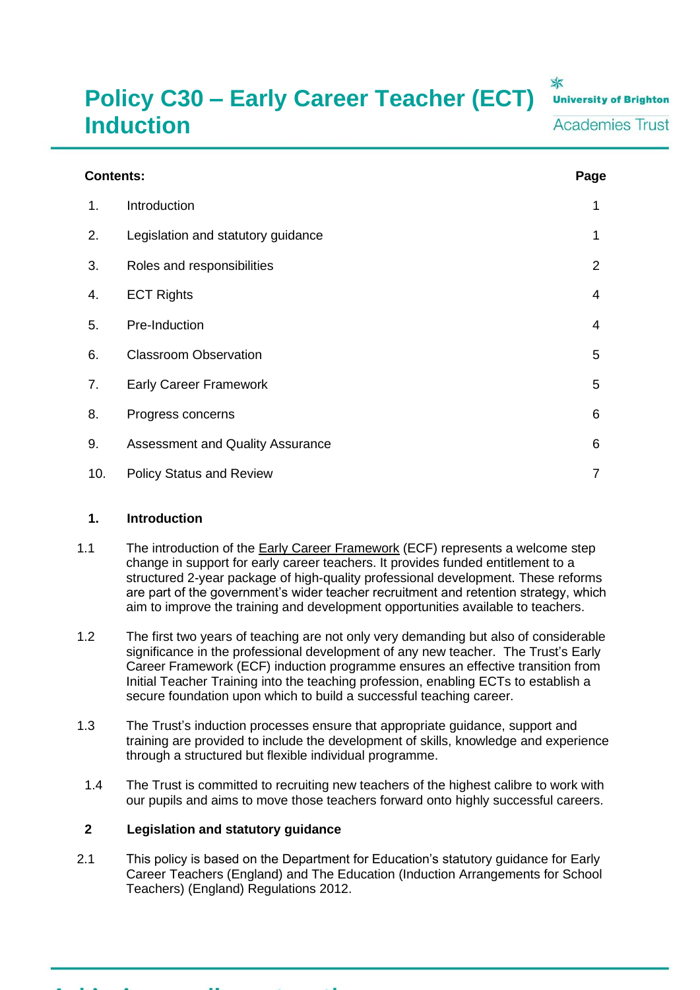# **Policy C30 – Early Career Teacher (ECT) Induction**

本 **University of Brighton Academies Trust** 

| <b>Contents:</b> |                                         |                |
|------------------|-----------------------------------------|----------------|
| 1.               | Introduction                            | 1              |
| 2.               | Legislation and statutory guidance      | 1              |
| 3.               | Roles and responsibilities              | $\overline{2}$ |
| 4.               | <b>ECT Rights</b>                       | 4              |
| 5.               | Pre-Induction                           | 4              |
| 6.               | <b>Classroom Observation</b>            | 5              |
| 7.               | <b>Early Career Framework</b>           | 5              |
| 8.               | Progress concerns                       | 6              |
| 9.               | <b>Assessment and Quality Assurance</b> | 6              |
| 10.              | <b>Policy Status and Review</b>         | 7              |

#### **1. Introduction**

- 1.1 The introduction of the [Early Career Framework](https://www.gov.uk/government/publications/early-career-framework) (ECF) represents a welcome step change in support for early career teachers. It provides funded entitlement to a structured 2-year package of high-quality professional development. These reforms are part of the government's wider teacher recruitment and retention strategy, which aim to improve the training and development opportunities available to teachers.
- 1.2 The first two years of teaching are not only very demanding but also of considerable significance in the professional development of any new teacher. The Trust's Early Career Framework (ECF) induction programme ensures an effective transition from Initial Teacher Training into the teaching profession, enabling ECTs to establish a secure foundation upon which to build a successful teaching career.
- 1.3 The Trust's induction processes ensure that appropriate guidance, support and training are provided to include the development of skills, knowledge and experience through a structured but flexible individual programme.
- 1.4 The Trust is committed to recruiting new teachers of the highest calibre to work with our pupils and aims to move those teachers forward onto highly successful careers.

## **2 Legislation and statutory guidance**

2.1 This policy is based on the Department for Education's statutory guidance for Early Career Teachers (England) and The Education (Induction Arrangements for School Teachers) (England) Regulations 2012.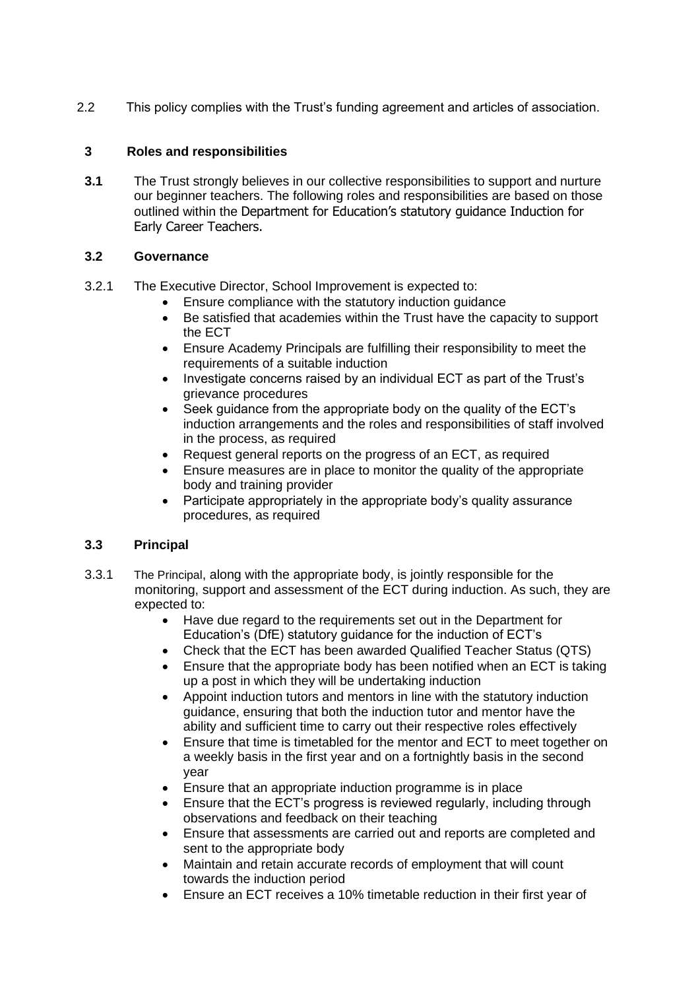2.2 This policy complies with the Trust's funding agreement and articles of association.

## **3 Roles and responsibilities**

**3.1** The Trust strongly believes in our collective responsibilities to support and nurture our beginner teachers. The following roles and responsibilities are based on those outlined within the Department for Education's statutory guidance [Induction for](https://www.gov.uk/government/publications/induction-for-newly-qualified-teachers-nqts)  [Early](https://www.gov.uk/government/publications/induction-for-newly-qualified-teachers-nqts) [Career Teachers.](https://www.gov.uk/government/publications/induction-for-newly-qualified-teachers-nqts)

## **3.2 Governance**

- 3.2.1 The Executive Director, School Improvement is expected to:
	- Ensure compliance with the statutory induction guidance
	- Be satisfied that academies within the Trust have the capacity to support the ECT
	- Ensure Academy Principals are fulfilling their responsibility to meet the requirements of a suitable induction
	- Investigate concerns raised by an individual ECT as part of the Trust's grievance procedures
	- Seek quidance from the appropriate body on the quality of the ECT's induction arrangements and the roles and responsibilities of staff involved in the process, as required
	- Request general reports on the progress of an ECT, as required
	- Ensure measures are in place to monitor the quality of the appropriate body and training provider
	- Participate appropriately in the appropriate body's quality assurance procedures, as required

# **3.3 Principal**

- 3.3.1 The Principal, along with the appropriate body, is jointly responsible for the monitoring, support and assessment of the ECT during induction. As such, they are expected to:
	- Have due regard to the requirements set out in the Department for Education's (DfE) statutory guidance for the induction of ECT's
	- Check that the ECT has been awarded Qualified Teacher Status (QTS)
	- Ensure that the appropriate body has been notified when an ECT is taking up a post in which they will be undertaking induction
	- Appoint induction tutors and mentors in line with the statutory induction guidance, ensuring that both the induction tutor and mentor have the ability and sufficient time to carry out their respective roles effectively
	- Ensure that time is timetabled for the mentor and ECT to meet together on a weekly basis in the first year and on a fortnightly basis in the second year
	- Ensure that an appropriate induction programme is in place
	- Ensure that the ECT's progress is reviewed regularly, including through observations and feedback on their teaching
	- Ensure that assessments are carried out and reports are completed and sent to the appropriate body
	- Maintain and retain accurate records of employment that will count towards the induction period
	- Ensure an ECT receives a 10% timetable reduction in their first year of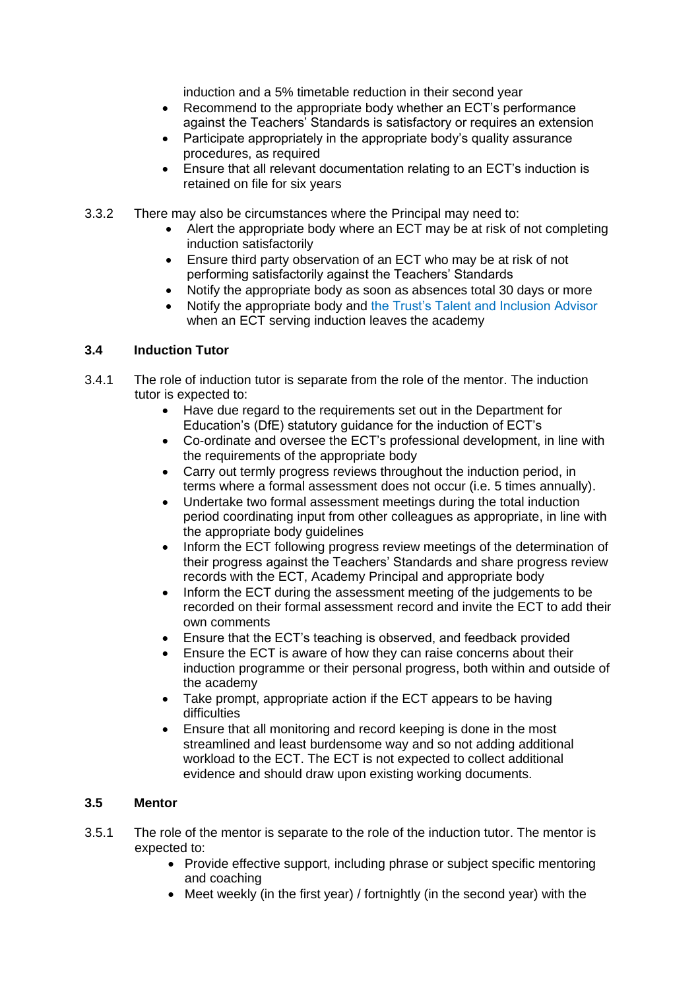induction and a 5% timetable reduction in their second year

- Recommend to the appropriate body whether an ECT's performance against the Teachers' Standards is satisfactory or requires an extension
- Participate appropriately in the appropriate body's quality assurance procedures, as required
- Ensure that all relevant documentation relating to an ECT's induction is retained on file for six years
- 3.3.2 There may also be circumstances where the Principal may need to:
	- Alert the appropriate body where an ECT may be at risk of not completing induction satisfactorily
	- Ensure third party observation of an ECT who may be at risk of not performing satisfactorily against the Teachers' Standards
	- Notify the appropriate body as soon as absences total 30 days or more
	- Notify the appropriate body and the Trust's Talent and Inclusion Advisor when an ECT serving induction leaves the academy

## **3.4 Induction Tutor**

- 3.4.1 The role of induction tutor is separate from the role of the mentor. The induction tutor is expected to:
	- Have due regard to the requirements set out in the Department for Education's (DfE) statutory guidance for the induction of ECT's
	- Co-ordinate and oversee the ECT's professional development, in line with the requirements of the appropriate body
	- Carry out termly progress reviews throughout the induction period, in terms where a formal assessment does not occur (i.e. 5 times annually).
	- Undertake two formal assessment meetings during the total induction period coordinating input from other colleagues as appropriate, in line with the appropriate body guidelines
	- Inform the ECT following progress review meetings of the determination of their progress against the Teachers' Standards and share progress review records with the ECT, Academy Principal and appropriate body
	- Inform the ECT during the assessment meeting of the judgements to be recorded on their formal assessment record and invite the ECT to add their own comments
	- Ensure that the ECT's teaching is observed, and feedback provided
	- Ensure the ECT is aware of how they can raise concerns about their induction programme or their personal progress, both within and outside of the academy
	- Take prompt, appropriate action if the ECT appears to be having difficulties
	- Ensure that all monitoring and record keeping is done in the most streamlined and least burdensome way and so not adding additional workload to the ECT. The ECT is not expected to collect additional evidence and should draw upon existing working documents.

## **3.5 Mentor**

- 3.5.1 The role of the mentor is separate to the role of the induction tutor. The mentor is expected to:
	- Provide effective support, including phrase or subject specific mentoring and coaching
	- Meet weekly (in the first year) / fortnightly (in the second year) with the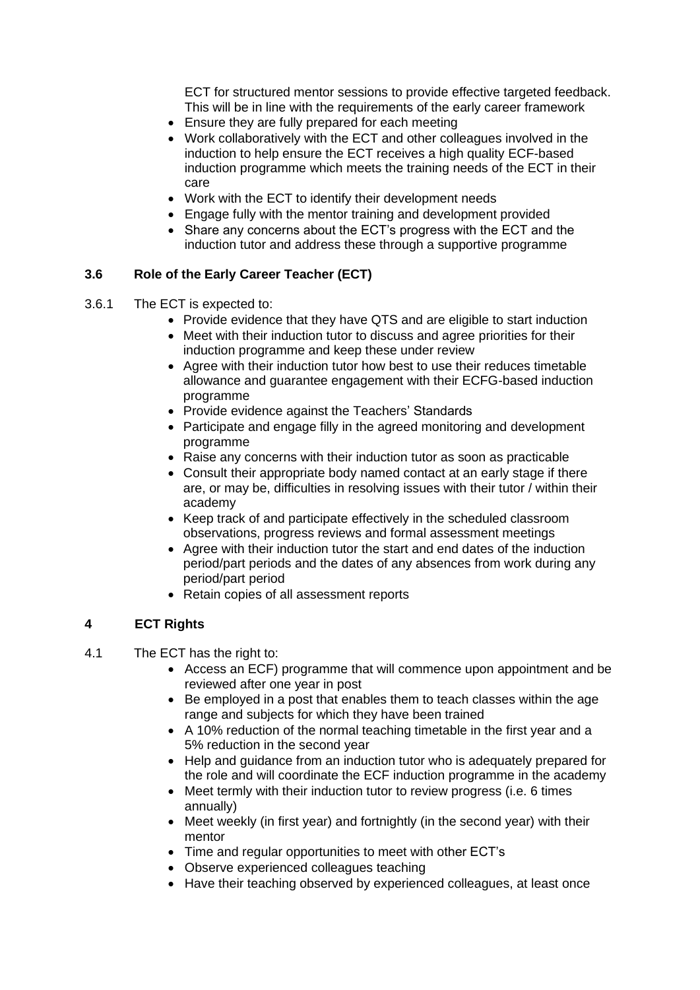ECT for structured mentor sessions to provide effective targeted feedback. This will be in line with the requirements of the early career framework

- Ensure they are fully prepared for each meeting
- Work collaboratively with the ECT and other colleagues involved in the induction to help ensure the ECT receives a high quality ECF-based induction programme which meets the training needs of the ECT in their care
- Work with the ECT to identify their development needs
- Engage fully with the mentor training and development provided
- Share any concerns about the ECT's progress with the ECT and the induction tutor and address these through a supportive programme

## **3.6 Role of the Early Career Teacher (ECT)**

- 3.6.1 The ECT is expected to:
	- Provide evidence that they have QTS and are eligible to start induction
	- Meet with their induction tutor to discuss and agree priorities for their induction programme and keep these under review
	- Agree with their induction tutor how best to use their reduces timetable allowance and guarantee engagement with their ECFG-based induction programme
	- Provide evidence against the Teachers' Standards
	- Participate and engage filly in the agreed monitoring and development programme
	- Raise any concerns with their induction tutor as soon as practicable
	- Consult their appropriate body named contact at an early stage if there are, or may be, difficulties in resolving issues with their tutor / within their academy
	- Keep track of and participate effectively in the scheduled classroom observations, progress reviews and formal assessment meetings
	- Agree with their induction tutor the start and end dates of the induction period/part periods and the dates of any absences from work during any period/part period
	- Retain copies of all assessment reports

#### **4 ECT Rights**

- 4.1 The ECT has the right to:
	- Access an ECF) programme that will commence upon appointment and be reviewed after one year in post
	- Be employed in a post that enables them to teach classes within the age range and subjects for which they have been trained
	- A 10% reduction of the normal teaching timetable in the first year and a 5% reduction in the second year
	- Help and guidance from an induction tutor who is adequately prepared for the role and will coordinate the ECF induction programme in the academy
	- Meet termly with their induction tutor to review progress (i.e. 6 times annually)
	- Meet weekly (in first year) and fortnightly (in the second year) with their mentor
	- Time and regular opportunities to meet with other ECT's
	- Observe experienced colleagues teaching
	- Have their teaching observed by experienced colleagues, at least once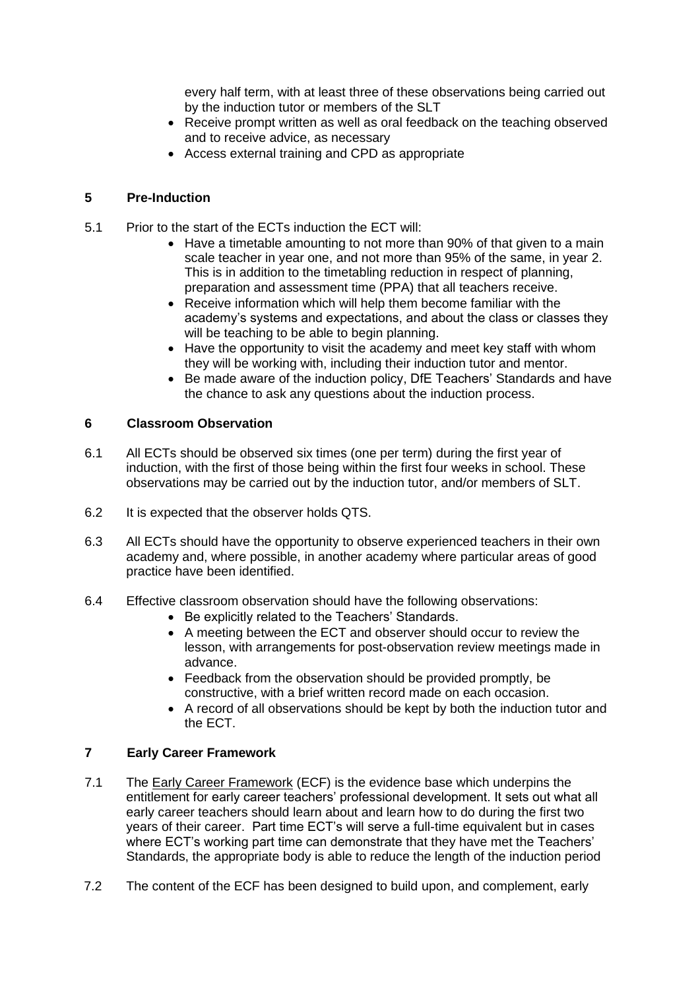every half term, with at least three of these observations being carried out by the induction tutor or members of the SLT

- Receive prompt written as well as oral feedback on the teaching observed and to receive advice, as necessary
- Access external training and CPD as appropriate

## **5 Pre-Induction**

- 5.1 Prior to the start of the ECTs induction the ECT will:
	- Have a timetable amounting to not more than 90% of that given to a main scale teacher in year one, and not more than 95% of the same, in year 2. This is in addition to the timetabling reduction in respect of planning, preparation and assessment time (PPA) that all teachers receive.
	- Receive information which will help them become familiar with the academy's systems and expectations, and about the class or classes they will be teaching to be able to begin planning.
	- Have the opportunity to visit the academy and meet key staff with whom they will be working with, including their induction tutor and mentor.
	- Be made aware of the induction policy, DfE Teachers' Standards and have the chance to ask any questions about the induction process.

#### **6 Classroom Observation**

- 6.1 All ECTs should be observed six times (one per term) during the first year of induction, with the first of those being within the first four weeks in school. These observations may be carried out by the induction tutor, and/or members of SLT.
- 6.2 It is expected that the observer holds QTS.
- 6.3 All ECTs should have the opportunity to observe experienced teachers in their own academy and, where possible, in another academy where particular areas of good practice have been identified.
- 6.4 Effective classroom observation should have the following observations:
	- Be explicitly related to the Teachers' Standards.
	- A meeting between the ECT and observer should occur to review the lesson, with arrangements for post-observation review meetings made in advance.
	- Feedback from the observation should be provided promptly, be constructive, with a brief written record made on each occasion.
	- A record of all observations should be kept by both the induction tutor and the ECT.

# **7 Early Career Framework**

- 7.1 The [Early Career Framework](https://www.gov.uk/government/publications/early-career-framework) (ECF) is the evidence base which underpins the entitlement for early career teachers' professional development. It sets out what all early career teachers should learn about and learn how to do during the first two years of their career. Part time ECT's will serve a full-time equivalent but in cases where ECT's working part time can demonstrate that they have met the Teachers' Standards, the appropriate body is able to reduce the length of the induction period
- 7.2 The content of the ECF has been designed to build upon, and complement, early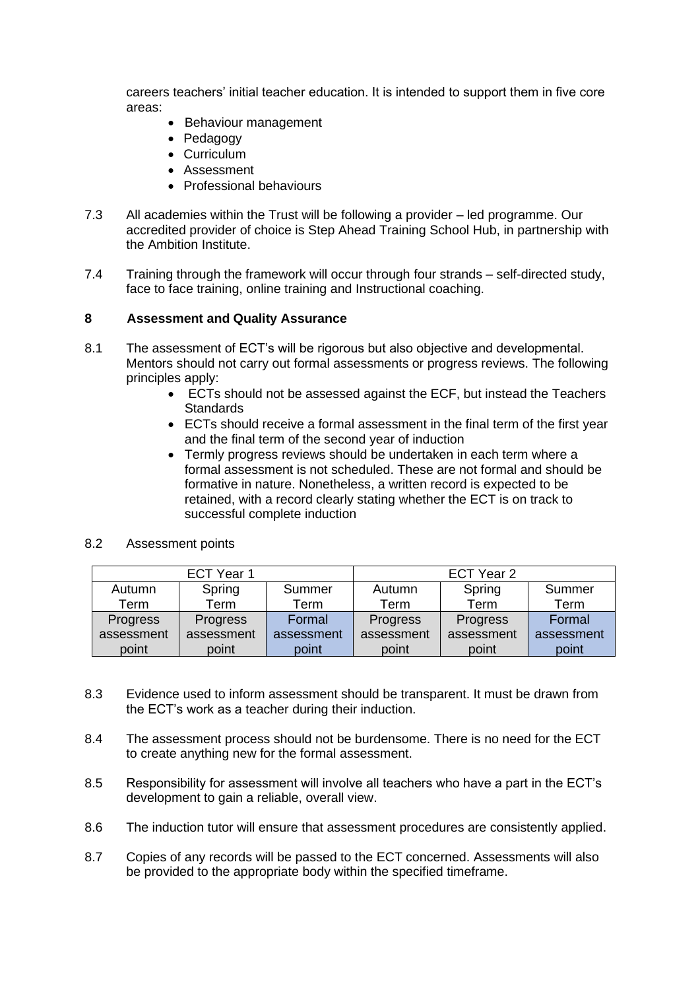careers teachers' initial teacher education. It is intended to support them in five core areas:

- Behaviour management
- Pedagogy
- Curriculum
- Assessment
- Professional behaviours
- 7.3 All academies within the Trust will be following a provider led programme. Our accredited provider of choice is Step Ahead Training School Hub, in partnership with the Ambition Institute.
- 7.4 Training through the framework will occur through four strands self-directed study, face to face training, online training and Instructional coaching.

#### **8 Assessment and Quality Assurance**

- 8.1 The assessment of ECT's will be rigorous but also objective and developmental. Mentors should not carry out formal assessments or progress reviews. The following principles apply:
	- ECTs should not be assessed against the ECF, but instead the Teachers **Standards**
	- ECTs should receive a formal assessment in the final term of the first year and the final term of the second year of induction
	- Termly progress reviews should be undertaken in each term where a formal assessment is not scheduled. These are not formal and should be formative in nature. Nonetheless, a written record is expected to be retained, with a record clearly stating whether the ECT is on track to successful complete induction

| ECT Year 1 |            |            | ECT Year 2 |            |            |
|------------|------------|------------|------------|------------|------------|
| Autumn     | Spring     | Summer     | Autumn     | Spring     | Summer     |
| Term       | Term       | Term       | Term       | Term       | Term       |
| Progress   | Progress   | Formal     | Progress   | Progress   | Formal     |
| assessment | assessment | assessment | assessment | assessment | assessment |
| point      | point      | point      | point      | point      | point      |

8.2 Assessment points

- 8.3 Evidence used to inform assessment should be transparent. It must be drawn from the ECT's work as a teacher during their induction.
- 8.4 The assessment process should not be burdensome. There is no need for the ECT to create anything new for the formal assessment.
- 8.5 Responsibility for assessment will involve all teachers who have a part in the ECT's development to gain a reliable, overall view.
- 8.6 The induction tutor will ensure that assessment procedures are consistently applied.
- 8.7 Copies of any records will be passed to the ECT concerned. Assessments will also be provided to the appropriate body within the specified timeframe.